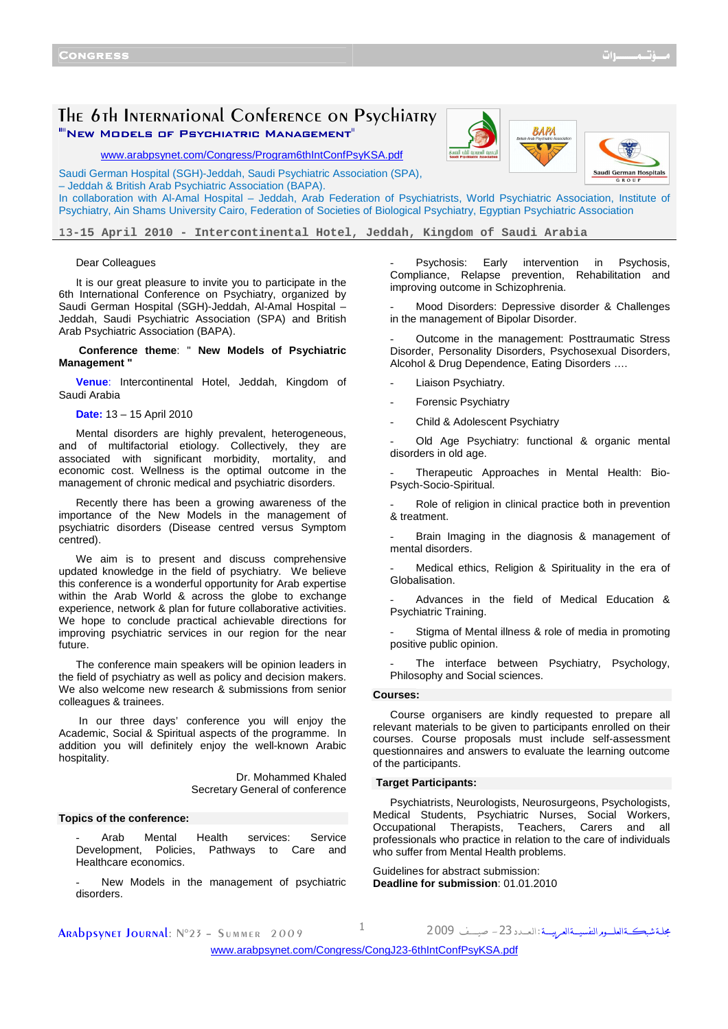## The 6th International Conference on Psychiatry ""New Models of Psychiatric Management"





www.arabpsynet.com/Congress/Program6thIntConfPsyKSA.pdf

Saudi German Hospital (SGH)-Jeddah, Saudi Psychiatric Association (SPA), – Jeddah & British Arab Psychiatric Association (BAPA).

In collaboration with Al-Amal Hospital – Jeddah, Arab Federation of Psychiatrists, World Psychiatric Association, Institute of Psychiatry, Ain Shams University Cairo, Federation of Societies of Biological Psychiatry, Egyptian Psychiatric Association

**13-15 April 2010 - Intercontinental Hotel, Jeddah, Kingdom of Saudi Arabia** 

## Dear Colleagues

It is our great pleasure to invite you to participate in the 6th International Conference on Psychiatry, organized by Saudi German Hospital (SGH)-Jeddah, Al-Amal Hospital – Jeddah, Saudi Psychiatric Association (SPA) and British Arab Psychiatric Association (BAPA).

## **Conference theme**: " **New Models of Psychiatric Management "**

**Venue**: Intercontinental Hotel, Jeddah, Kingdom of Saudi Arabia

**Date:** 13 – 15 April 2010

Mental disorders are highly prevalent, heterogeneous, and of multifactorial etiology. Collectively, they are associated with significant morbidity, mortality, and economic cost. Wellness is the optimal outcome in the management of chronic medical and psychiatric disorders.

Recently there has been a growing awareness of the importance of the New Models in the management of psychiatric disorders (Disease centred versus Symptom centred).

We aim is to present and discuss comprehensive updated knowledge in the field of psychiatry. We believe this conference is a wonderful opportunity for Arab expertise within the Arab World & across the globe to exchange experience, network & plan for future collaborative activities. We hope to conclude practical achievable directions for improving psychiatric services in our region for the near future.

The conference main speakers will be opinion leaders in the field of psychiatry as well as policy and decision makers. We also welcome new research & submissions from senior colleagues & trainees.

 In our three days' conference you will enjoy the Academic, Social & Spiritual aspects of the programme. In addition you will definitely enjoy the well-known Arabic hospitality.

> Dr. Mohammed Khaled Secretary General of conference

## **Topics of the conference:**

Arab Mental Health services: Service<br>Iopment, Policies, Pathways to Care and Development, Policies, Pathways to Care and Healthcare economics.

New Models in the management of psychiatric disorders.

Psychosis: Early intervention in Psychosis, Compliance, Relapse prevention, Rehabilitation and improving outcome in Schizophrenia.

Mood Disorders: Depressive disorder & Challenges in the management of Bipolar Disorder.

Outcome in the management: Posttraumatic Stress Disorder, Personality Disorders, Psychosexual Disorders, Alcohol & Drug Dependence, Eating Disorders ….

Liaison Psychiatry.

Forensic Psychiatry

Child & Adolescent Psychiatry

Old Age Psychiatry: functional & organic mental disorders in old age.

Therapeutic Approaches in Mental Health: Bio-Psych-Socio-Spiritual.

Role of religion in clinical practice both in prevention & treatment.

Brain Imaging in the diagnosis & management of mental disorders.

Medical ethics, Religion & Spirituality in the era of Globalisation.

- Advances in the field of Medical Education & Psychiatric Training.

Stigma of Mental illness & role of media in promoting positive public opinion.

The interface between Psychiatry, Psychology, Philosophy and Social sciences.

#### **Courses:**

Course organisers are kindly requested to prepare all relevant materials to be given to participants enrolled on their courses. Course proposals must include self-assessment questionnaires and answers to evaluate the learning outcome of the participants.

## **Target Participants:**

Psychiatrists, Neurologists, Neurosurgeons, Psychologists, Medical Students, Psychiatric Nurses, Social Workers, Occupational Therapists, Teachers, Carers and all professionals who practice in relation to the care of individuals who suffer from Mental Health problems.

Guidelines for abstract submission: **Deadline for submission**: 01.01.2010

**ARADDSYNET JOURNAL:**  $N^{\circ}23 - S$ ummer 2009  $1$ 

مجلة شبڪــةالعلـــومرالنفسيــةالعـريـــة :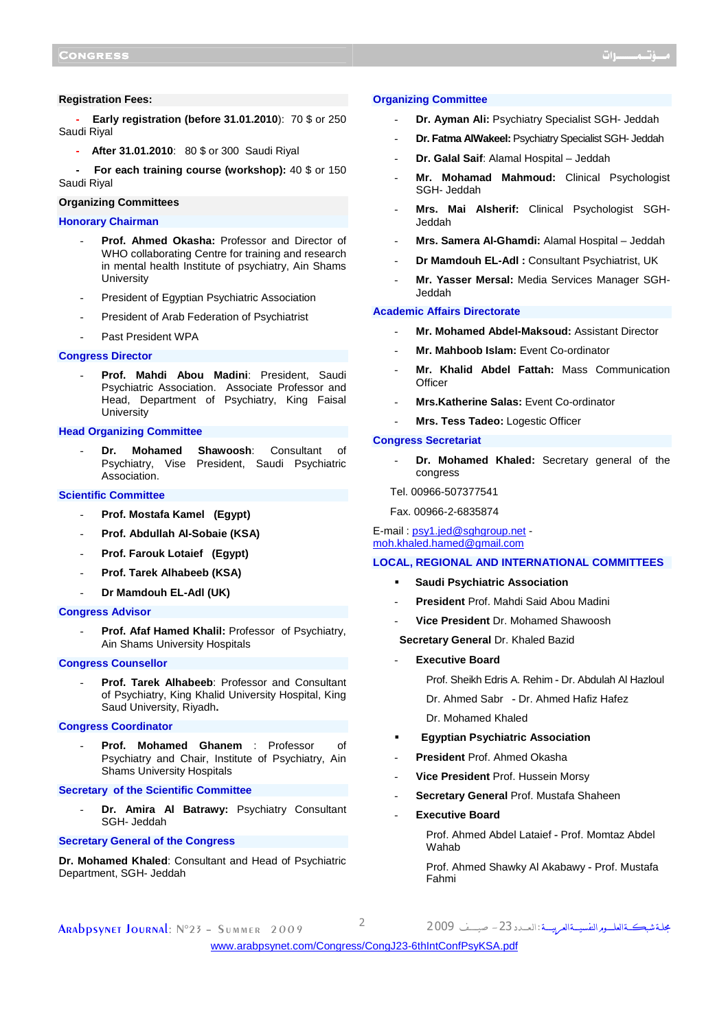## **Registration Fees:**

**- Early registration (before 31.01.2010**): 70 \$ or 250 Saudi Riyal

**- After 31.01.2010**: 80 \$ or 300 Saudi Riyal

**For each training course (workshop):** 40 \$ or 150 Saudi Riyal

## **Organizing Committees**

## **Honorary Chairman**

- Prof. Ahmed Okasha: Professor and Director of WHO collaborating Centre for training and research in mental health Institute of psychiatry, Ain Shams **University**
- President of Egyptian Psychiatric Association
- President of Arab Federation of Psychiatrist
- Past President WPA

## **Congress Director**

- **Prof. Mahdi Abou Madini**: President, Saudi Psychiatric Association. Associate Professor and Head, Department of Psychiatry, King Faisal **University** 

## **Head Organizing Committee**

- **Dr. Mohamed Shawoosh**: Consultant of Psychiatry, Vise President, Saudi Psychiatric Association.

## **Scientific Committee**

- **Prof. Mostafa Kamel (Egypt)**
- **Prof. Abdullah Al-Sobaie (KSA)**
- **Prof. Farouk Lotaief (Egypt)**
- **Prof. Tarek Alhabeeb (KSA)**
- **Dr Mamdouh EL-Adl (UK)**

## **Congress Advisor**

Prof. Afaf Hamed Khalil: Professor of Psychiatry, Ain Shams University Hospitals

## **Congress Counsellor**

Prof. Tarek Alhabeeb: Professor and Consultant of Psychiatry, King Khalid University Hospital, King Saud University, Riyadh**.**

## **Congress Coordinator**

- **Prof. Mohamed Ghanem** : Professor of Psychiatry and Chair, Institute of Psychiatry, Ain Shams University Hospitals

#### **Secretary of the Scientific Committee**

Dr. Amira Al Batrawy: Psychiatry Consultant SGH- Jeddah

## **Secretary General of the Congress**

**Dr. Mohamed Khaled**: Consultant and Head of Psychiatric Department, SGH- Jeddah

#### **Organizing Committee**

- **Dr. Ayman Ali:** Psychiatry Specialist SGH- Jeddah
- **Dr. Fatma AlWakeel:** Psychiatry Specialist SGH- Jeddah
- **Dr. Galal Saif**: Alamal Hospital Jeddah
- **Mr. Mohamad Mahmoud:** Clinical Psychologist SGH- Jeddah
- **Mrs. Mai Alsherif:** Clinical Psychologist SGH-Jeddah
- **Mrs. Samera Al-Ghamdi:** Alamal Hospital Jeddah
- **Dr Mamdouh EL-Adl :** Consultant Psychiatrist, UK
- **Mr. Yasser Mersal:** Media Services Manager SGH-Jeddah

#### **Academic Affairs Directorate**

- **Mr. Mohamed Abdel-Maksoud:** Assistant Director
- **Mr. Mahboob Islam:** Event Co-ordinator
- **Mr. Khalid Abdel Fattah:** Mass Communication **Officer**
- **Mrs.Katherine Salas:** Event Co-ordinator
- **Mrs. Tess Tadeo:** Logestic Officer

#### **Congress Secretariat**

- **Dr. Mohamed Khaled:** Secretary general of the congress
- Tel. 00966-507377541
- Fax. 00966-2-6835874

## E-mail : psy1.jed@sghgroup.net moh.khaled.hamed@gmail.com

## **LOCAL, REGIONAL AND INTERNATIONAL COMMITTEES**

- **Saudi Psychiatric Association**
- **President** Prof. Mahdi Said Abou Madini
- **Vice President** Dr. Mohamed Shawoosh
- **Secretary General** Dr. Khaled Bazid
- **Executive Board**

Prof. Sheikh Edris A. Rehim - Dr. Abdulah Al Hazloul

Dr. Ahmed Sabr - Dr. Ahmed Hafiz Hafez

Dr. Mohamed Khaled

- **Egyptian Psychiatric Association**
- **President** Prof. Ahmed Okasha
- **Vice President** Prof. Hussein Morsy
- Secretary General Prof. Mustafa Shaheen
- **Executive Board**

Prof. Ahmed Abdel Lataief - Prof. Momtaz Abdel Wahab

Prof. Ahmed Shawky Al Akabawy - Prof. Mustafa Fahmi

ARADDSYNET JOURNAL: N°23 - SUMMER 2009

مجلةشبڪــةالعلـــومرالنفسيــةالعـرييـــة :